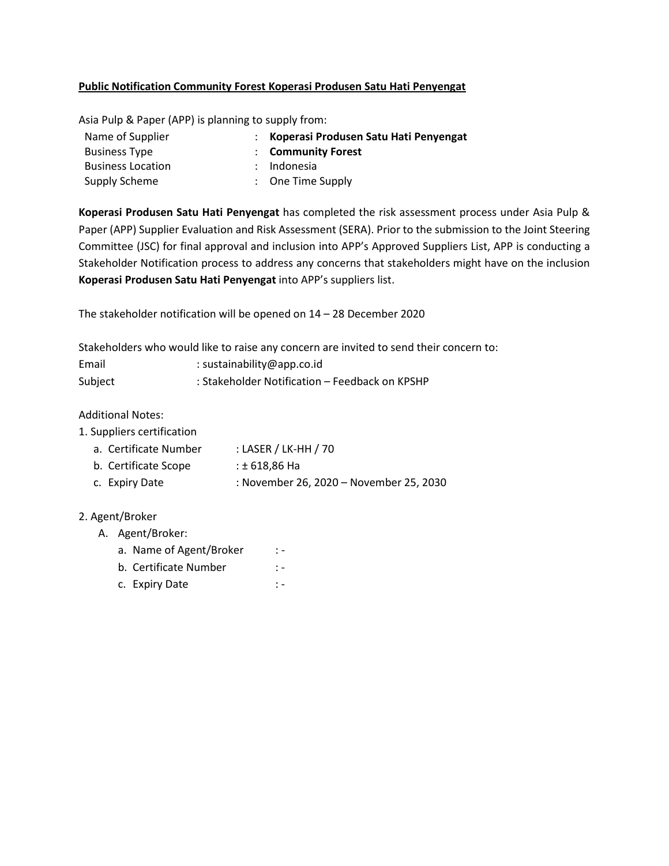## **Public Notification Community Forest Koperasi Produsen Satu Hati Penyengat**

Asia Pulp & Paper (APP) is planning to supply from:

| Name of Supplier         | : Koperasi Produsen Satu Hati Penyengat |
|--------------------------|-----------------------------------------|
| <b>Business Type</b>     | : Community Forest                      |
| <b>Business Location</b> | : Indonesia                             |
| Supply Scheme            | $\therefore$ One Time Supply            |

**Koperasi Produsen Satu Hati Penyengat** has completed the risk assessment process under Asia Pulp & Paper (APP) Supplier Evaluation and Risk Assessment (SERA). Prior to the submission to the Joint Steering Committee (JSC) for final approval and inclusion into APP's Approved Suppliers List, APP is conducting a Stakeholder Notification process to address any concerns that stakeholders might have on the inclusion **Koperasi Produsen Satu Hati Penyengat** into APP's suppliers list.

The stakeholder notification will be opened on 14 – 28 December 2020

Stakeholders who would like to raise any concern are invited to send their concern to:

| Email   | : sustainability@app.co.id                     |
|---------|------------------------------------------------|
| Subject | : Stakeholder Notification – Feedback on KPSHP |

Additional Notes:

- 1. Suppliers certification
	- a. Certificate Number : LASER / LK-HH / 70
	- b. Certificate Scope : ± 618,86 Ha
	- c. Expiry Date : November 26, 2020 November 25, 2030

## 2. Agent/Broker

- A. Agent/Broker:
	- a. Name of Agent/Broker : -
	- b. Certificate Number : -
	- c. Expiry Date : -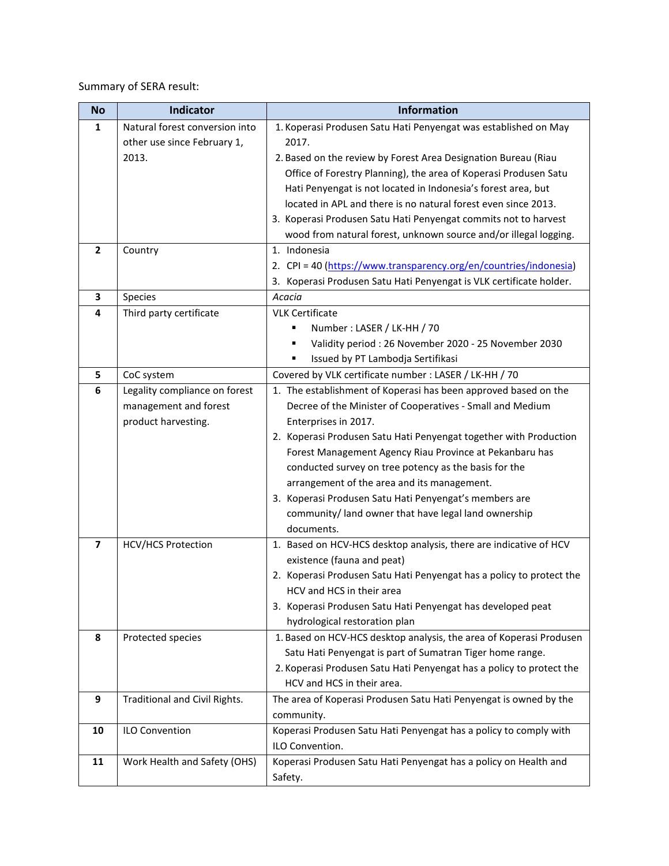Summary of SERA result:

| <b>No</b>      | <b>Indicator</b>               | <b>Information</b>                                                                           |
|----------------|--------------------------------|----------------------------------------------------------------------------------------------|
| 1              | Natural forest conversion into | 1. Koperasi Produsen Satu Hati Penyengat was established on May                              |
|                | other use since February 1,    | 2017.                                                                                        |
|                | 2013.                          | 2. Based on the review by Forest Area Designation Bureau (Riau                               |
|                |                                | Office of Forestry Planning), the area of Koperasi Produsen Satu                             |
|                |                                | Hati Penyengat is not located in Indonesia's forest area, but                                |
|                |                                | located in APL and there is no natural forest even since 2013.                               |
|                |                                | 3. Koperasi Produsen Satu Hati Penyengat commits not to harvest                              |
|                |                                | wood from natural forest, unknown source and/or illegal logging.                             |
| $\overline{2}$ | Country                        | 1. Indonesia                                                                                 |
|                |                                | 2. CPI = 40 (https://www.transparency.org/en/countries/indonesia)                            |
|                |                                | 3. Koperasi Produsen Satu Hati Penyengat is VLK certificate holder.                          |
| 3              | <b>Species</b>                 | Acacia                                                                                       |
| 4              | Third party certificate        | <b>VLK Certificate</b>                                                                       |
|                |                                | Number: LASER / LK-HH / 70                                                                   |
|                |                                | Validity period: 26 November 2020 - 25 November 2030                                         |
|                |                                | Issued by PT Lambodja Sertifikasi                                                            |
| 5              | CoC system                     | Covered by VLK certificate number : LASER / LK-HH / 70                                       |
| 6              | Legality compliance on forest  | 1. The establishment of Koperasi has been approved based on the                              |
|                | management and forest          | Decree of the Minister of Cooperatives - Small and Medium                                    |
|                | product harvesting.            | Enterprises in 2017.                                                                         |
|                |                                | 2. Koperasi Produsen Satu Hati Penyengat together with Production                            |
|                |                                | Forest Management Agency Riau Province at Pekanbaru has                                      |
|                |                                | conducted survey on tree potency as the basis for the                                        |
|                |                                | arrangement of the area and its management.                                                  |
|                |                                | 3. Koperasi Produsen Satu Hati Penyengat's members are                                       |
|                |                                | community/ land owner that have legal land ownership                                         |
|                |                                | documents.                                                                                   |
| 7              | <b>HCV/HCS Protection</b>      | 1. Based on HCV-HCS desktop analysis, there are indicative of HCV                            |
|                |                                | existence (fauna and peat)                                                                   |
|                |                                | 2. Koperasi Produsen Satu Hati Penyengat has a policy to protect the                         |
|                |                                | HCV and HCS in their area                                                                    |
|                |                                | 3. Koperasi Produsen Satu Hati Penyengat has developed peat<br>hydrological restoration plan |
| 8              | Protected species              | 1. Based on HCV-HCS desktop analysis, the area of Koperasi Produsen                          |
|                |                                | Satu Hati Penyengat is part of Sumatran Tiger home range.                                    |
|                |                                | 2. Koperasi Produsen Satu Hati Penyengat has a policy to protect the                         |
|                |                                | HCV and HCS in their area.                                                                   |
| 9              | Traditional and Civil Rights.  | The area of Koperasi Produsen Satu Hati Penyengat is owned by the                            |
|                |                                | community.                                                                                   |
| 10             | <b>ILO Convention</b>          | Koperasi Produsen Satu Hati Penyengat has a policy to comply with                            |
|                |                                | ILO Convention.                                                                              |
| 11             | Work Health and Safety (OHS)   | Koperasi Produsen Satu Hati Penyengat has a policy on Health and                             |
|                |                                | Safety.                                                                                      |